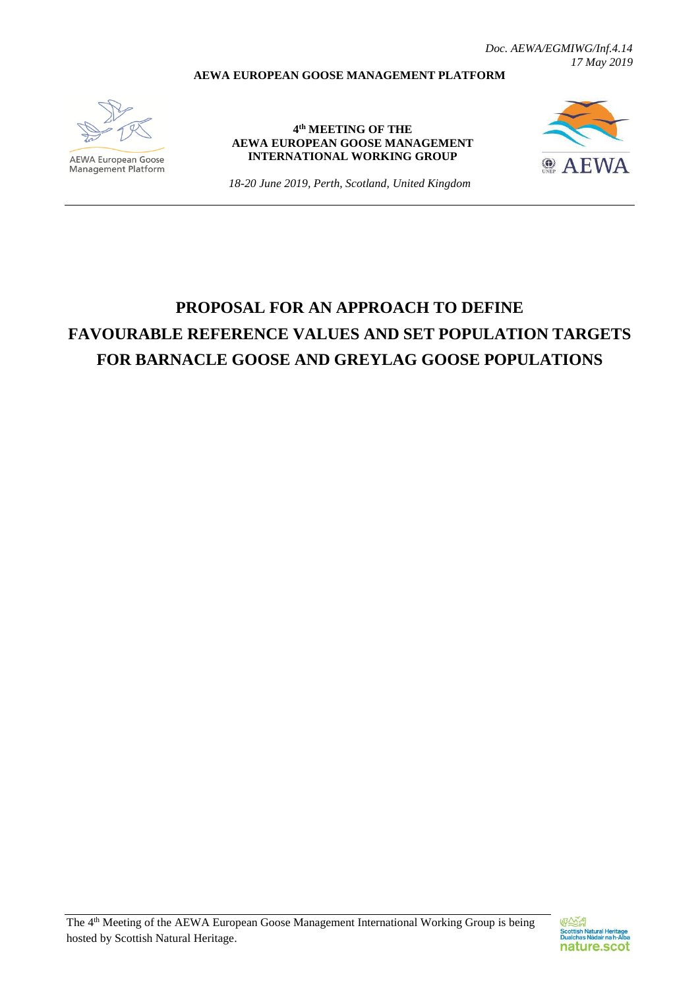*Doc. AEWA/EGMIWG/Inf.4.14 17 May 2019*

#### **AEWA EUROPEAN GOOSE MANAGEMENT PLATFORM**



**AEWA European Goose**<br>Management Platform

**4 th MEETING OF THE AEWA EUROPEAN GOOSE MANAGEMENT INTERNATIONAL WORKING GROUP**



*18-20 June 2019, Perth, Scotland, United Kingdom*

# **PROPOSAL FOR AN APPROACH TO DEFINE FAVOURABLE REFERENCE VALUES AND SET POPULATION TARGETS FOR BARNACLE GOOSE AND GREYLAG GOOSE POPULATIONS**

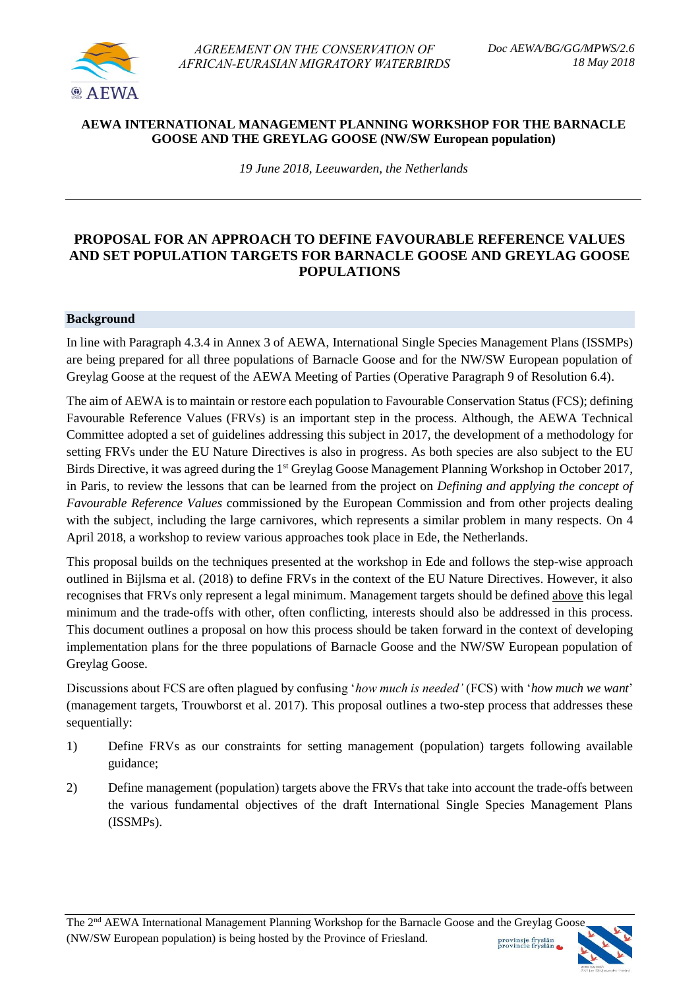

*AGREEMENT ON THE CONSERVATION OF AFRICAN-EURASIAN MIGRATORY WATERBIRDS* 

#### **AEWA INTERNATIONAL MANAGEMENT PLANNING WORKSHOP FOR THE BARNACLE GOOSE AND THE GREYLAG GOOSE (NW/SW European population)**

*19 June 2018, Leeuwarden, the Netherlands* 

#### **PROPOSAL FOR AN APPROACH TO DEFINE FAVOURABLE REFERENCE VALUES AND SET POPULATION TARGETS FOR BARNACLE GOOSE AND GREYLAG GOOSE POPULATIONS**

#### **Background**

In line with Paragraph 4.3.4 in Annex 3 of AEWA, International Single Species Management Plans (ISSMPs) are being prepared for all three populations of Barnacle Goose and for the NW/SW European population of Greylag Goose at the request of the AEWA Meeting of Parties (Operative Paragraph 9 of Resolution 6.4).

The aim of AEWA is to maintain or restore each population to Favourable Conservation Status (FCS); defining Favourable Reference Values (FRVs) is an important step in the process. Although, the AEWA Technical Committee adopted a set of guidelines addressing this subject in 2017, the development of a methodology for setting FRVs under the EU Nature Directives is also in progress. As both species are also subject to the EU Birds Directive, it was agreed during the 1<sup>st</sup> Greylag Goose Management Planning Workshop in October 2017, in Paris, to review the lessons that can be learned from the project on *Defining and applying the concept of Favourable Reference Values* commissioned by the European Commission and from other projects dealing with the subject, including the large carnivores, which represents a similar problem in many respects. On 4 April 2018, a workshop to review various approaches took place in Ede, the Netherlands.

This proposal builds on the techniques presented at the workshop in Ede and follows the step-wise approach outlined in Bijlsma et al. (2018) to define FRVs in the context of the EU Nature Directives. However, it also recognises that FRVs only represent a legal minimum. Management targets should be defined above this legal minimum and the trade-offs with other, often conflicting, interests should also be addressed in this process. This document outlines a proposal on how this process should be taken forward in the context of developing implementation plans for the three populations of Barnacle Goose and the NW/SW European population of Greylag Goose.

Discussions about FCS are often plagued by confusing '*how much is needed'* (FCS) with '*how much we want*' (management targets, Trouwborst et al. 2017). This proposal outlines a two-step process that addresses these sequentially:

- 1) Define FRVs as our constraints for setting management (population) targets following available guidance;
- 2) Define management (population) targets above the FRVs that take into account the trade-offs between the various fundamental objectives of the draft International Single Species Management Plans (ISSMPs).

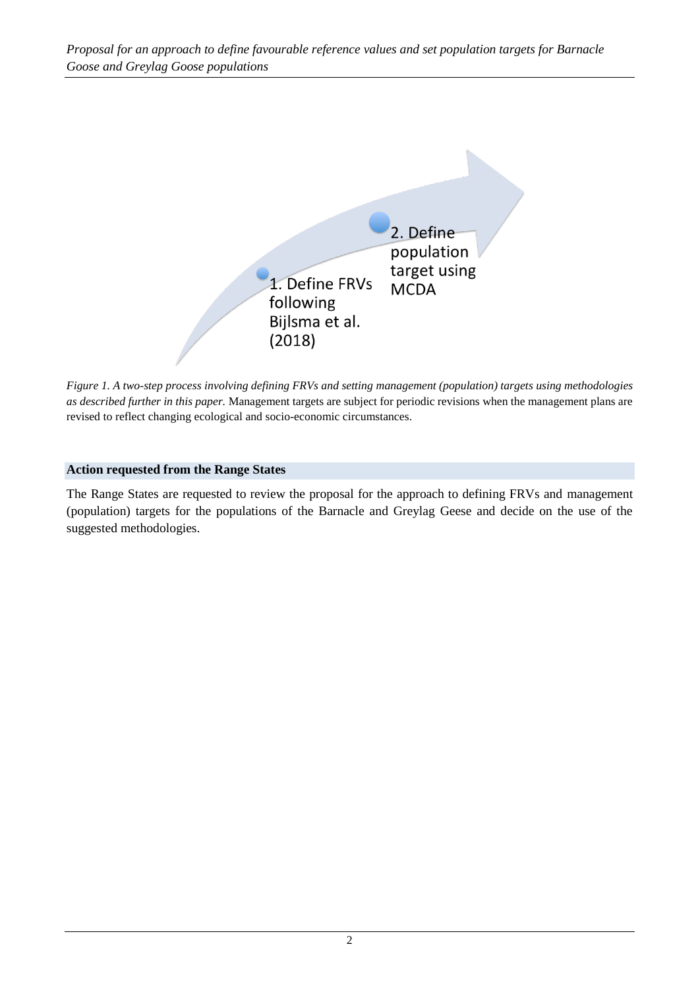

*Figure 1. A two-step process involving defining FRVs and setting management (population) targets using methodologies as described further in this paper.* Management targets are subject for periodic revisions when the management plans are revised to reflect changing ecological and socio-economic circumstances.

#### **Action requested from the Range States**

The Range States are requested to review the proposal for the approach to defining FRVs and management (population) targets for the populations of the Barnacle and Greylag Geese and decide on the use of the suggested methodologies.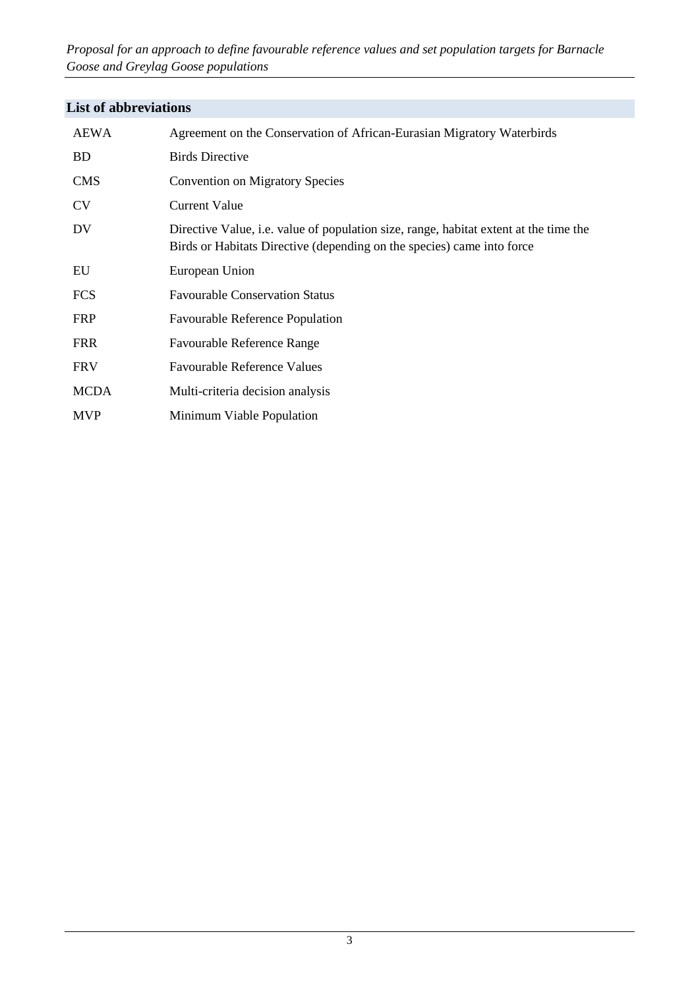*Proposal for an approach to define favourable reference values and set population targets for Barnacle Goose and Greylag Goose populations*

# **List of abbreviations**

| AEWA        | Agreement on the Conservation of African-Eurasian Migratory Waterbirds                                                                                                 |
|-------------|------------------------------------------------------------------------------------------------------------------------------------------------------------------------|
| <b>BD</b>   | <b>Birds Directive</b>                                                                                                                                                 |
| <b>CMS</b>  | <b>Convention on Migratory Species</b>                                                                                                                                 |
| <b>CV</b>   | Current Value                                                                                                                                                          |
| <b>DV</b>   | Directive Value, <i>i.e.</i> value of population size, range, habitat extent at the time the<br>Birds or Habitats Directive (depending on the species) came into force |
| EU          | European Union                                                                                                                                                         |
| <b>FCS</b>  | <b>Favourable Conservation Status</b>                                                                                                                                  |
| <b>FRP</b>  | <b>Favourable Reference Population</b>                                                                                                                                 |
| <b>FRR</b>  | <b>Favourable Reference Range</b>                                                                                                                                      |
| <b>FRV</b>  | <b>Favourable Reference Values</b>                                                                                                                                     |
| <b>MCDA</b> | Multi-criteria decision analysis                                                                                                                                       |
| <b>MVP</b>  | Minimum Viable Population                                                                                                                                              |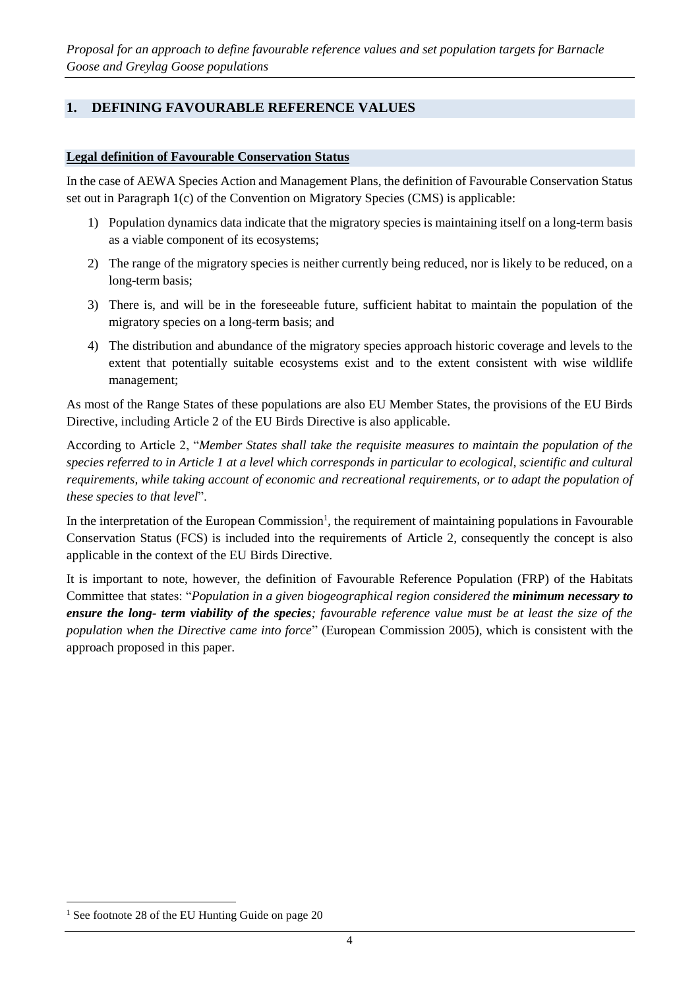# **1. DEFINING FAVOURABLE REFERENCE VALUES**

#### **Legal definition of Favourable Conservation Status**

In the case of AEWA Species Action and Management Plans, the definition of Favourable Conservation Status set out in Paragraph 1(c) of the Convention on Migratory Species (CMS) is applicable:

- 1) Population dynamics data indicate that the migratory species is maintaining itself on a long-term basis as a viable component of its ecosystems;
- 2) The range of the migratory species is neither currently being reduced, nor is likely to be reduced, on a long-term basis;
- 3) There is, and will be in the foreseeable future, sufficient habitat to maintain the population of the migratory species on a long-term basis; and
- 4) The distribution and abundance of the migratory species approach historic coverage and levels to the extent that potentially suitable ecosystems exist and to the extent consistent with wise wildlife management;

As most of the Range States of these populations are also EU Member States, the provisions of the EU Birds Directive, including Article 2 of the EU Birds Directive is also applicable.

According to Article 2, "*Member States shall take the requisite measures to maintain the population of the species referred to in Article 1 at a level which corresponds in particular to ecological, scientific and cultural requirements, while taking account of economic and recreational requirements, or to adapt the population of these species to that level*".

In the interpretation of the European Commission<sup>1</sup>, the requirement of maintaining populations in Favourable Conservation Status (FCS) is included into the requirements of Article 2, consequently the concept is also applicable in the context of the EU Birds Directive.

It is important to note, however, the definition of Favourable Reference Population (FRP) of the Habitats Committee that states: "*Population in a given biogeographical region considered the minimum necessary to ensure the long- term viability of the species; favourable reference value must be at least the size of the population when the Directive came into force*" (European Commission 2005), which is consistent with the approach proposed in this paper.

 $1$  See footnote 28 of the EU Hunting Guide on page 20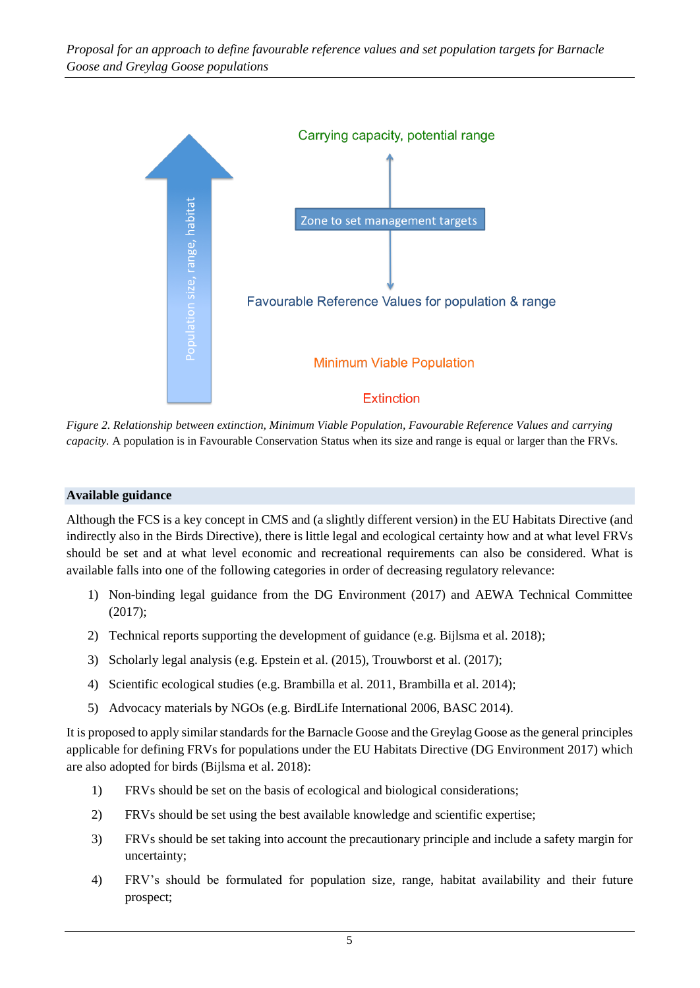

*Figure 2. Relationship between extinction, Minimum Viable Population, Favourable Reference Values and carrying capacity.* A population is in Favourable Conservation Status when its size and range is equal or larger than the FRVs.

#### **Available guidance**

Although the FCS is a key concept in CMS and (a slightly different version) in the EU Habitats Directive (and indirectly also in the Birds Directive), there is little legal and ecological certainty how and at what level FRVs should be set and at what level economic and recreational requirements can also be considered. What is available falls into one of the following categories in order of decreasing regulatory relevance:

- 1) Non-binding legal guidance from the DG Environment (2017) and AEWA Technical Committee (2017);
- 2) Technical reports supporting the development of guidance (e.g. Bijlsma et al. 2018);
- 3) Scholarly legal analysis (e.g. Epstein et al. (2015), Trouwborst et al. (2017);
- 4) Scientific ecological studies (e.g. Brambilla et al. 2011, Brambilla et al. 2014);
- 5) Advocacy materials by NGOs (e.g. BirdLife International 2006, BASC 2014).

It is proposed to apply similar standards for the Barnacle Goose and the Greylag Goose as the general principles applicable for defining FRVs for populations under the EU Habitats Directive (DG Environment 2017) which are also adopted for birds (Bijlsma et al. 2018):

- 1) FRVs should be set on the basis of ecological and biological considerations;
- 2) FRVs should be set using the best available knowledge and scientific expertise;
- 3) FRVs should be set taking into account the precautionary principle and include a safety margin for uncertainty;
- 4) FRV's should be formulated for population size, range, habitat availability and their future prospect;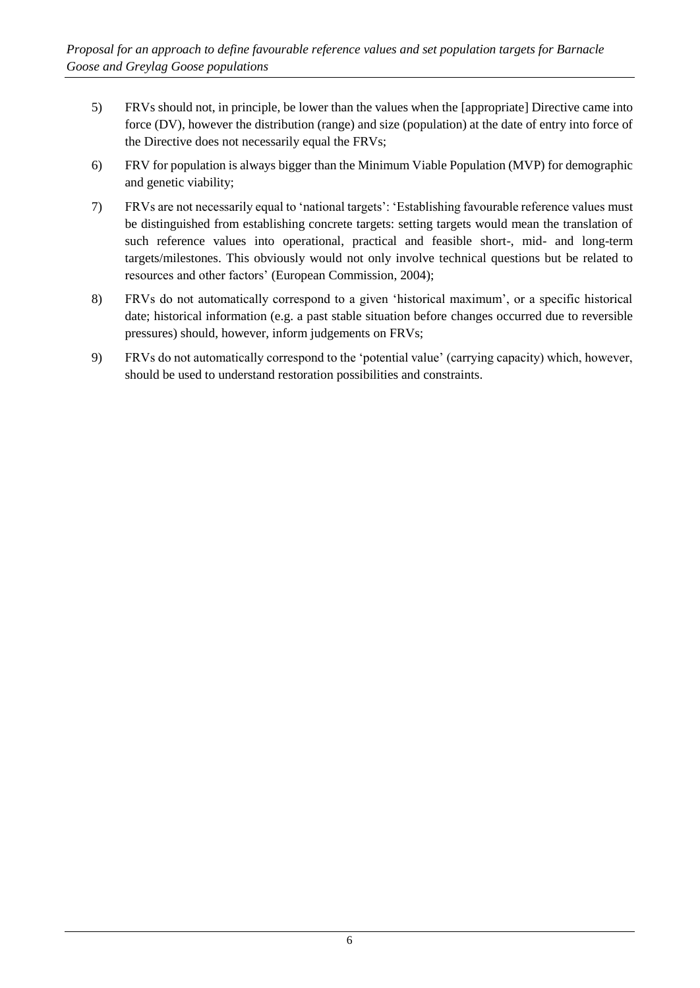- 5) FRVs should not, in principle, be lower than the values when the [appropriate] Directive came into force (DV), however the distribution (range) and size (population) at the date of entry into force of the Directive does not necessarily equal the FRVs;
- 6) FRV for population is always bigger than the Minimum Viable Population (MVP) for demographic and genetic viability;
- 7) FRVs are not necessarily equal to 'national targets': 'Establishing favourable reference values must be distinguished from establishing concrete targets: setting targets would mean the translation of such reference values into operational, practical and feasible short-, mid- and long-term targets/milestones. This obviously would not only involve technical questions but be related to resources and other factors' (European Commission, 2004);
- 8) FRVs do not automatically correspond to a given 'historical maximum', or a specific historical date; historical information (e.g. a past stable situation before changes occurred due to reversible pressures) should, however, inform judgements on FRVs;
- 9) FRVs do not automatically correspond to the 'potential value' (carrying capacity) which, however, should be used to understand restoration possibilities and constraints.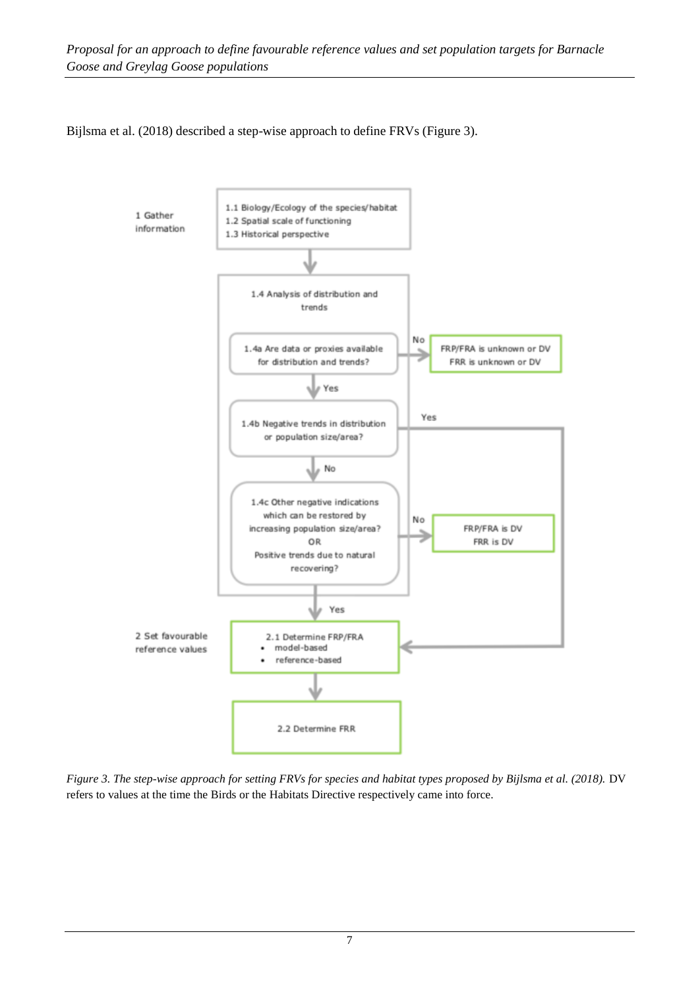#### Bijlsma et al. (2018) described a step-wise approach to define FRVs (Figure 3).



*Figure 3. The step-wise approach for setting FRVs for species and habitat types proposed by Bijlsma et al. (2018).* DV refers to values at the time the Birds or the Habitats Directive respectively came into force.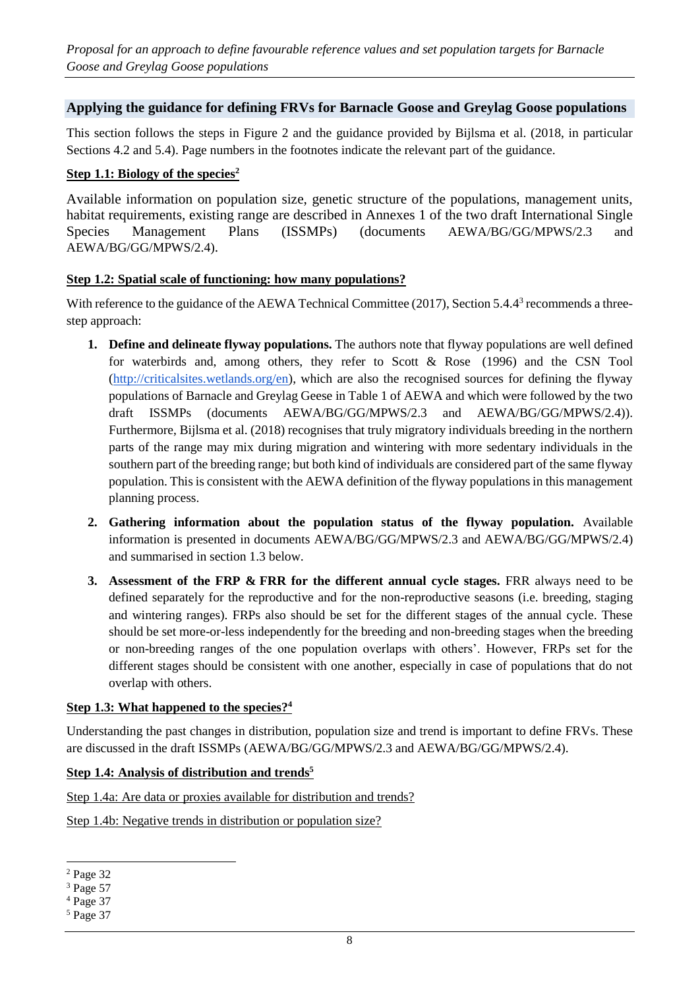#### **Applying the guidance for defining FRVs for Barnacle Goose and Greylag Goose populations**

This section follows the steps in Figure 2 and the guidance provided by Bijlsma et al. (2018, in particular Sections 4.2 and 5.4). Page numbers in the footnotes indicate the relevant part of the guidance.

#### **Step 1.1: Biology of the species<sup>2</sup>**

Available information on population size, genetic structure of the populations, management units, habitat requirements, existing range are described in Annexes 1 of the two draft International Single Species Management Plans (ISSMPs) (documents AEWA/BG/GG/MPWS/2.3 and AEWA/BG/GG/MPWS/2.4).

#### **Step 1.2: Spatial scale of functioning: how many populations?**

With reference to the guidance of the AEWA Technical Committee (2017), Section 5.4.4<sup>3</sup> recommends a threestep approach:

- **1. Define and delineate flyway populations.** The authors note that flyway populations are well defined for waterbirds and, among others, they refer to Scott & Rose (1996) and the CSN Tool [\(http://criticalsites.wetlands.org/en\)](http://criticalsites.wetlands.org/en), which are also the recognised sources for defining the flyway populations of Barnacle and Greylag Geese in Table 1 of AEWA and which were followed by the two draft ISSMPs (documents AEWA/BG/GG/MPWS/2.3 and AEWA/BG/GG/MPWS/2.4)). Furthermore, Bijlsma et al. (2018) recognises that truly migratory individuals breeding in the northern parts of the range may mix during migration and wintering with more sedentary individuals in the southern part of the breeding range; but both kind of individuals are considered part of the same flyway population. This is consistent with the AEWA definition of the flyway populations in this management planning process.
- **2. Gathering information about the population status of the flyway population.** Available information is presented in documents AEWA/BG/GG/MPWS/2.3 and AEWA/BG/GG/MPWS/2.4) and summarised in section 1.3 below.
- **3. Assessment of the FRP & FRR for the different annual cycle stages.** FRR always need to be defined separately for the reproductive and for the non-reproductive seasons (i.e. breeding, staging and wintering ranges). FRPs also should be set for the different stages of the annual cycle. These should be set more-or-less independently for the breeding and non-breeding stages when the breeding or non-breeding ranges of the one population overlaps with others'. However, FRPs set for the different stages should be consistent with one another, especially in case of populations that do not overlap with others.

#### **Step 1.3: What happened to the species?<sup>4</sup>**

Understanding the past changes in distribution, population size and trend is important to define FRVs. These are discussed in the draft ISSMPs (AEWA/BG/GG/MPWS/2.3 and AEWA/BG/GG/MPWS/2.4).

#### **Step 1.4: Analysis of distribution and trends<sup>5</sup>**

Step 1.4a: Are data or proxies available for distribution and trends?

Step 1.4b: Negative trends in distribution or population size?

<sup>2</sup> Page 32

<sup>3</sup> Page 57

<sup>4</sup> Page 37

<sup>5</sup> Page 37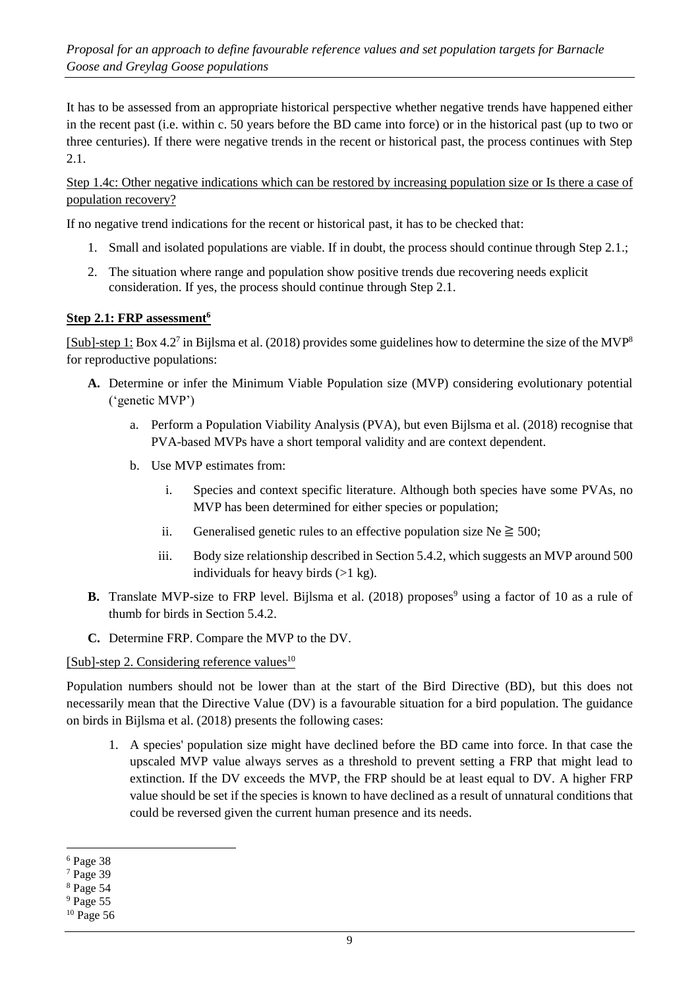It has to be assessed from an appropriate historical perspective whether negative trends have happened either in the recent past (i.e. within c. 50 years before the BD came into force) or in the historical past (up to two or three centuries). If there were negative trends in the recent or historical past, the process continues with Step 2.1.

Step 1.4c: Other negative indications which can be restored by increasing population size or Is there a case of population recovery?

If no negative trend indications for the recent or historical past, it has to be checked that:

- 1. Small and isolated populations are viable. If in doubt, the process should continue through Step 2.1.;
- 2. The situation where range and population show positive trends due recovering needs explicit consideration. If yes, the process should continue through Step 2.1.

#### **Step 2.1: FRP assessment<sup>6</sup>**

[Sub]-step 1: Box 4.2<sup>7</sup> in Bijlsma et al. (2018) provides some guidelines how to determine the size of the MVP<sup>8</sup> for reproductive populations:

- **A.** Determine or infer the Minimum Viable Population size (MVP) considering evolutionary potential ('genetic MVP')
	- a. Perform a Population Viability Analysis (PVA), but even Bijlsma et al. (2018) recognise that PVA-based MVPs have a short temporal validity and are context dependent.
	- b. Use MVP estimates from:
		- i. Species and context specific literature. Although both species have some PVAs, no MVP has been determined for either species or population;
		- ii. Generalised genetic rules to an effective population size  $Ne \geq 500$ ;
		- iii. Body size relationship described in Section 5.4.2, which suggests an MVP around 500 individuals for heavy birds  $(>1 \text{ kg})$ .
- **B.** Translate MVP-size to FRP level. Bijlsma et al. (2018) proposes<sup>9</sup> using a factor of 10 as a rule of thumb for birds in Section 5.4.2.
- **C.** Determine FRP. Compare the MVP to the DV.

#### [Sub]-step 2. Considering reference values $^{10}$

Population numbers should not be lower than at the start of the Bird Directive (BD), but this does not necessarily mean that the Directive Value (DV) is a favourable situation for a bird population. The guidance on birds in Bijlsma et al. (2018) presents the following cases:

1. A species' population size might have declined before the BD came into force. In that case the upscaled MVP value always serves as a threshold to prevent setting a FRP that might lead to extinction. If the DV exceeds the MVP, the FRP should be at least equal to DV. A higher FRP value should be set if the species is known to have declined as a result of unnatural conditions that could be reversed given the current human presence and its needs.

<sup>6</sup> Page 38

<sup>7</sup> Page 39

<sup>8</sup> Page 54

<sup>&</sup>lt;sup>9</sup> Page 55

 $10$  Page 56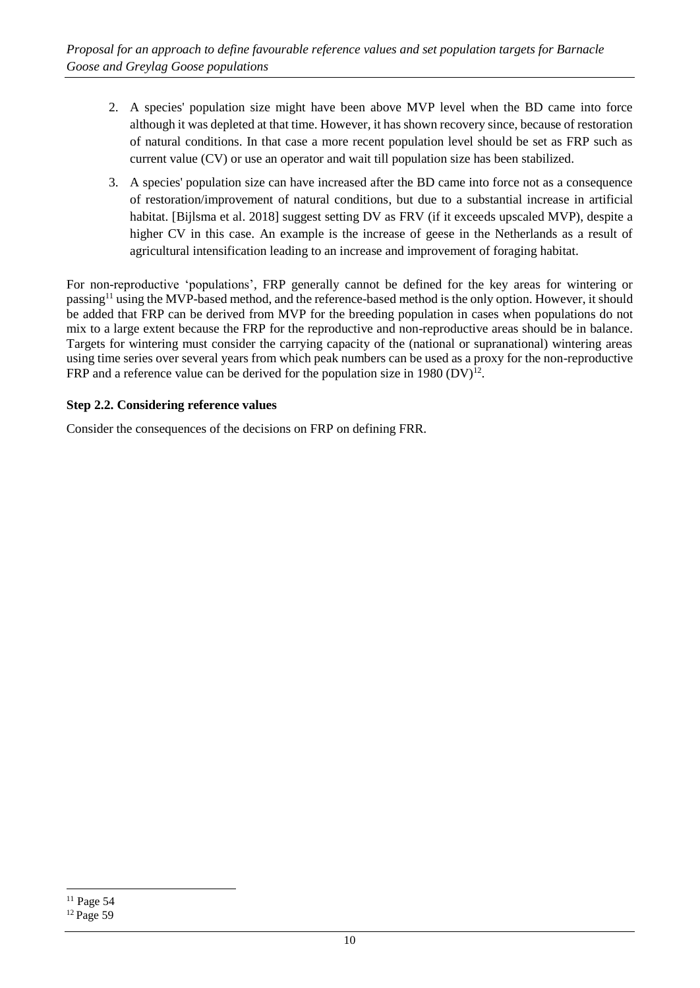- 2. A species' population size might have been above MVP level when the BD came into force although it was depleted at that time. However, it has shown recovery since, because of restoration of natural conditions. In that case a more recent population level should be set as FRP such as current value (CV) or use an operator and wait till population size has been stabilized.
- 3. A species' population size can have increased after the BD came into force not as a consequence of restoration/improvement of natural conditions, but due to a substantial increase in artificial habitat. [Bijlsma et al. 2018] suggest setting DV as FRV (if it exceeds upscaled MVP), despite a higher CV in this case. An example is the increase of geese in the Netherlands as a result of agricultural intensification leading to an increase and improvement of foraging habitat.

For non-reproductive 'populations', FRP generally cannot be defined for the key areas for wintering or passing<sup>11</sup> using the MVP-based method, and the reference-based method is the only option. However, it should be added that FRP can be derived from MVP for the breeding population in cases when populations do not mix to a large extent because the FRP for the reproductive and non-reproductive areas should be in balance. Targets for wintering must consider the carrying capacity of the (national or supranational) wintering areas using time series over several years from which peak numbers can be used as a proxy for the non-reproductive FRP and a reference value can be derived for the population size in 1980  $(DV)^{12}$ .

#### **Step 2.2. Considering reference values**

Consider the consequences of the decisions on FRP on defining FRR.

 $11$  Page 54

<sup>&</sup>lt;sup>12</sup> Page 59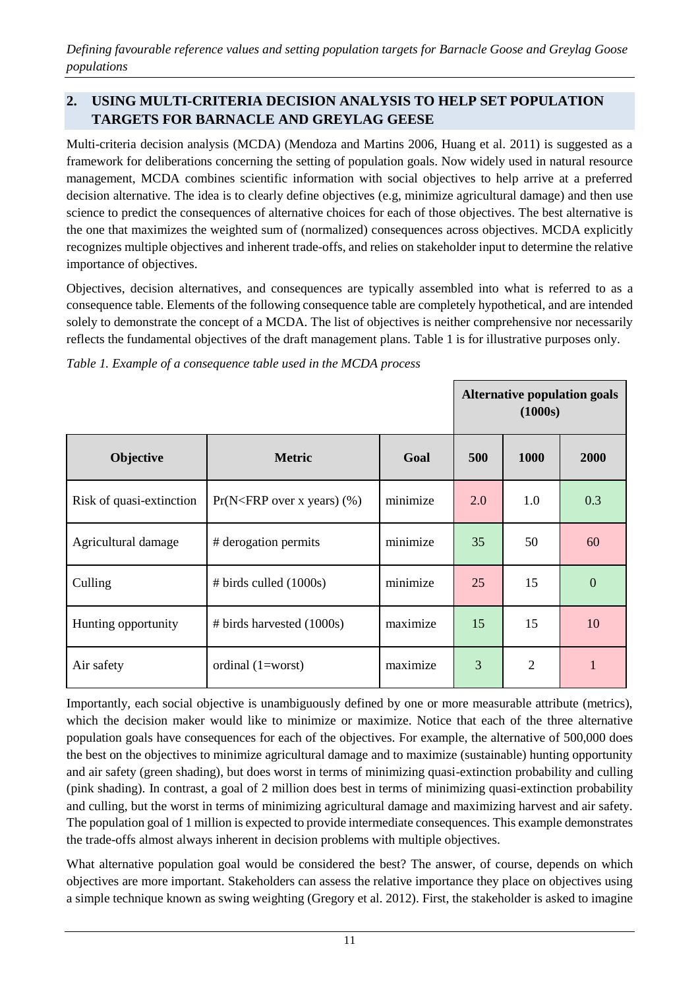*Defining favourable reference values and setting population targets for Barnacle Goose and Greylag Goose populations*

# **2. USING MULTI-CRITERIA DECISION ANALYSIS TO HELP SET POPULATION TARGETS FOR BARNACLE AND GREYLAG GEESE**

Multi-criteria decision analysis (MCDA) (Mendoza and Martins 2006, Huang et al. 2011) is suggested as a framework for deliberations concerning the setting of population goals. Now widely used in natural resource management, MCDA combines scientific information with social objectives to help arrive at a preferred decision alternative. The idea is to clearly define objectives (e.g, minimize agricultural damage) and then use science to predict the consequences of alternative choices for each of those objectives. The best alternative is the one that maximizes the weighted sum of (normalized) consequences across objectives. MCDA explicitly recognizes multiple objectives and inherent trade-offs, and relies on stakeholder input to determine the relative importance of objectives.

Objectives, decision alternatives, and consequences are typically assembled into what is referred to as a consequence table. Elements of the following consequence table are completely hypothetical, and are intended solely to demonstrate the concept of a MCDA. The list of objectives is neither comprehensive nor necessarily reflects the fundamental objectives of the draft management plans. Table 1 is for illustrative purposes only.

|                          | <b>Alternative population goals</b><br>(1000s) |          |     |                |                |
|--------------------------|------------------------------------------------|----------|-----|----------------|----------------|
| Objective                | <b>Metric</b>                                  | Goal     | 500 | 1000           | 2000           |
| Risk of quasi-extinction | $Pr(N < FRP$ over x years) $(\%)$              | minimize | 2.0 | 1.0            | 0.3            |
| Agricultural damage      | # derogation permits                           | minimize | 35  | 50             | 60             |
| Culling                  | $# \text{ birds called } (1000s)$              | minimize | 25  | 15             | $\overline{0}$ |
| Hunting opportunity      | $\#$ birds harvested (1000s)                   | maximize | 15  | 15             | 10             |
| Air safety               | ordinal $(1=worst)$                            | maximize | 3   | $\overline{2}$ | 1              |

*Table 1. Example of a consequence table used in the MCDA process* 

Importantly, each social objective is unambiguously defined by one or more measurable attribute (metrics), which the decision maker would like to minimize or maximize. Notice that each of the three alternative population goals have consequences for each of the objectives. For example, the alternative of 500,000 does the best on the objectives to minimize agricultural damage and to maximize (sustainable) hunting opportunity and air safety (green shading), but does worst in terms of minimizing quasi-extinction probability and culling (pink shading). In contrast, a goal of 2 million does best in terms of minimizing quasi-extinction probability and culling, but the worst in terms of minimizing agricultural damage and maximizing harvest and air safety. The population goal of 1 million is expected to provide intermediate consequences. This example demonstrates the trade-offs almost always inherent in decision problems with multiple objectives.

What alternative population goal would be considered the best? The answer, of course, depends on which objectives are more important. Stakeholders can assess the relative importance they place on objectives using a simple technique known as swing weighting (Gregory et al. 2012). First, the stakeholder is asked to imagine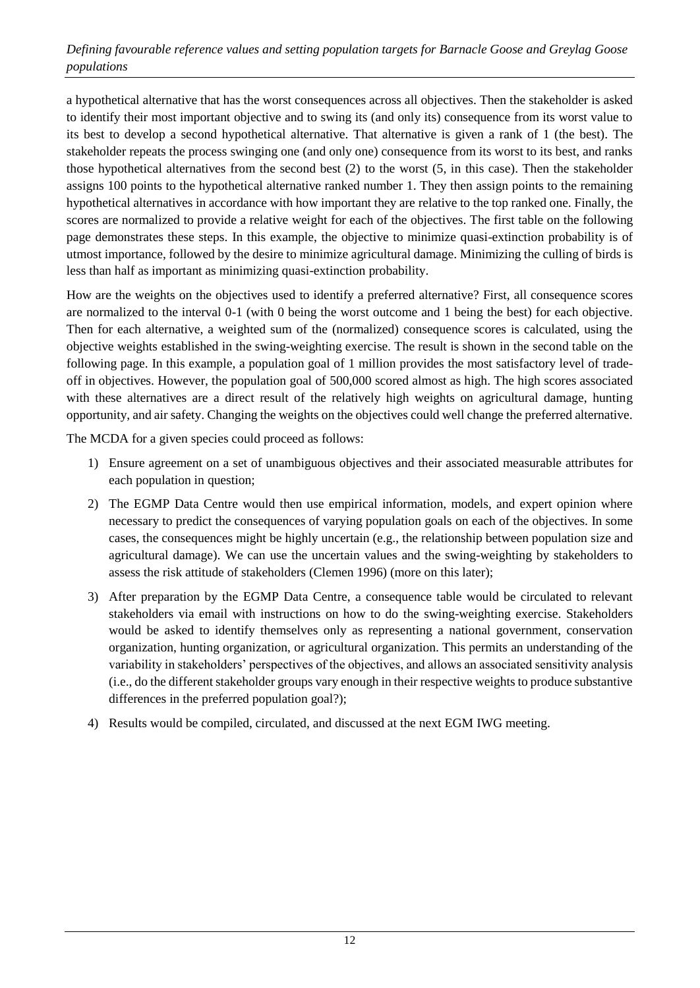### *Defining favourable reference values and setting population targets for Barnacle Goose and Greylag Goose populations*

a hypothetical alternative that has the worst consequences across all objectives. Then the stakeholder is asked to identify their most important objective and to swing its (and only its) consequence from its worst value to its best to develop a second hypothetical alternative. That alternative is given a rank of 1 (the best). The stakeholder repeats the process swinging one (and only one) consequence from its worst to its best, and ranks those hypothetical alternatives from the second best (2) to the worst (5, in this case). Then the stakeholder assigns 100 points to the hypothetical alternative ranked number 1. They then assign points to the remaining hypothetical alternatives in accordance with how important they are relative to the top ranked one. Finally, the scores are normalized to provide a relative weight for each of the objectives. The first table on the following page demonstrates these steps. In this example, the objective to minimize quasi-extinction probability is of utmost importance, followed by the desire to minimize agricultural damage. Minimizing the culling of birds is less than half as important as minimizing quasi-extinction probability.

How are the weights on the objectives used to identify a preferred alternative? First, all consequence scores are normalized to the interval 0-1 (with 0 being the worst outcome and 1 being the best) for each objective. Then for each alternative, a weighted sum of the (normalized) consequence scores is calculated, using the objective weights established in the swing-weighting exercise. The result is shown in the second table on the following page. In this example, a population goal of 1 million provides the most satisfactory level of tradeoff in objectives. However, the population goal of 500,000 scored almost as high. The high scores associated with these alternatives are a direct result of the relatively high weights on agricultural damage, hunting opportunity, and air safety. Changing the weights on the objectives could well change the preferred alternative.

The MCDA for a given species could proceed as follows:

- 1) Ensure agreement on a set of unambiguous objectives and their associated measurable attributes for each population in question;
- 2) The EGMP Data Centre would then use empirical information, models, and expert opinion where necessary to predict the consequences of varying population goals on each of the objectives. In some cases, the consequences might be highly uncertain (e.g., the relationship between population size and agricultural damage). We can use the uncertain values and the swing-weighting by stakeholders to assess the risk attitude of stakeholders (Clemen 1996) (more on this later);
- 3) After preparation by the EGMP Data Centre, a consequence table would be circulated to relevant stakeholders via email with instructions on how to do the swing-weighting exercise. Stakeholders would be asked to identify themselves only as representing a national government, conservation organization, hunting organization, or agricultural organization. This permits an understanding of the variability in stakeholders' perspectives of the objectives, and allows an associated sensitivity analysis (i.e., do the different stakeholder groups vary enough in their respective weights to produce substantive differences in the preferred population goal?);
- 4) Results would be compiled, circulated, and discussed at the next EGM IWG meeting.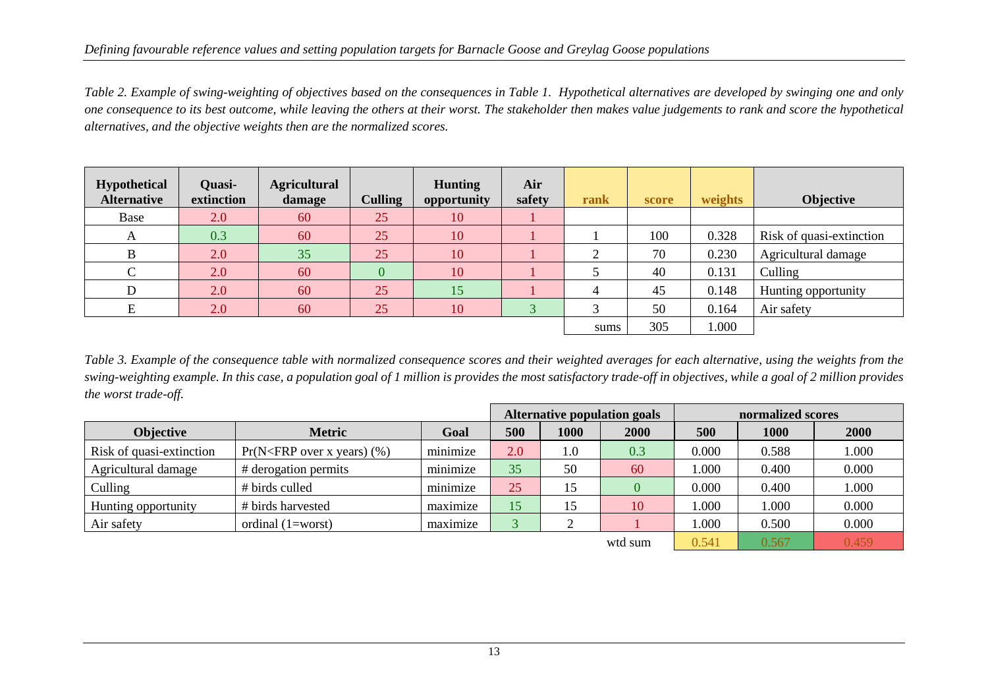*Table 2. Example of swing-weighting of objectives based on the consequences in Table 1. Hypothetical alternatives are developed by swinging one and only one consequence to its best outcome, while leaving the others at their worst. The stakeholder then makes value judgements to rank and score the hypothetical alternatives, and the objective weights then are the normalized scores.*

| <b>Hypothetical</b><br><b>Alternative</b> | <b>Quasi-</b><br>extinction | <b>Agricultural</b><br>damage | <b>Culling</b> | <b>Hunting</b><br>opportunity | Air<br>safety | rank | score | weights | <b>Objective</b>         |
|-------------------------------------------|-----------------------------|-------------------------------|----------------|-------------------------------|---------------|------|-------|---------|--------------------------|
| Base                                      | 2.0                         | 60                            | 25             | 10                            |               |      |       |         |                          |
| A                                         | 0.3                         | 60                            | 25             | 10                            |               |      | 100   | 0.328   | Risk of quasi-extinction |
| B                                         | 2.0                         | 35                            | 25             | 10                            |               | ◠    | 70    | 0.230   | Agricultural damage      |
| $\overline{C}$                            | 2.0                         | 60                            |                | 10                            |               |      | 40    | 0.131   | Culling                  |
|                                           | 2.0                         | 60                            | 25             | 15                            |               |      | 45    | 0.148   | Hunting opportunity      |
| E                                         | 2.0                         | 60                            | 25             | 10                            | $\bigcap$     | 3    | 50    | 0.164   | Air safety               |
|                                           |                             |                               |                |                               |               | sums | 305   | 1.000   |                          |

*Table 3. Example of the consequence table with normalized consequence scores and their weighted averages for each alternative, using the weights from the swing-weighting example. In this case, a population goal of 1 million is provides the most satisfactory trade-off in objectives, while a goal of 2 million provides the worst trade-off.*

|                          |                                   |                             | <b>Alternative population goals</b> |      |      | normalized scores |       |       |
|--------------------------|-----------------------------------|-----------------------------|-------------------------------------|------|------|-------------------|-------|-------|
| <b>Objective</b>         | <b>Metric</b>                     | Goal                        | 500                                 | 1000 | 2000 | 500               | 1000  | 2000  |
| Risk of quasi-extinction | $Pr(N < FRP$ over x years) $(\%)$ | minimize                    | 2.0                                 | 1.0  | 0.3  | 0.000             | 0.588 | 1.000 |
| Agricultural damage      | # derogation permits              | minimize                    | 35                                  | 50   | 60   | 1.000             | 0.400 | 0.000 |
| Culling                  | # birds culled                    | minimize                    | 25                                  | 15   |      | 0.000             | 0.400 | 1.000 |
| Hunting opportunity      | # birds harvested                 | $\cdot$ $\cdot$<br>maximize | 15                                  | 15   | 10   | 1.000             | 000.1 | 0.000 |
| Air safety               | ordinal $(1=worst)$               | maximize                    |                                     |      |      | 1.000             | 0.500 | 0.000 |
| wtd sum                  |                                   |                             |                                     |      |      |                   | 0.567 | 0.459 |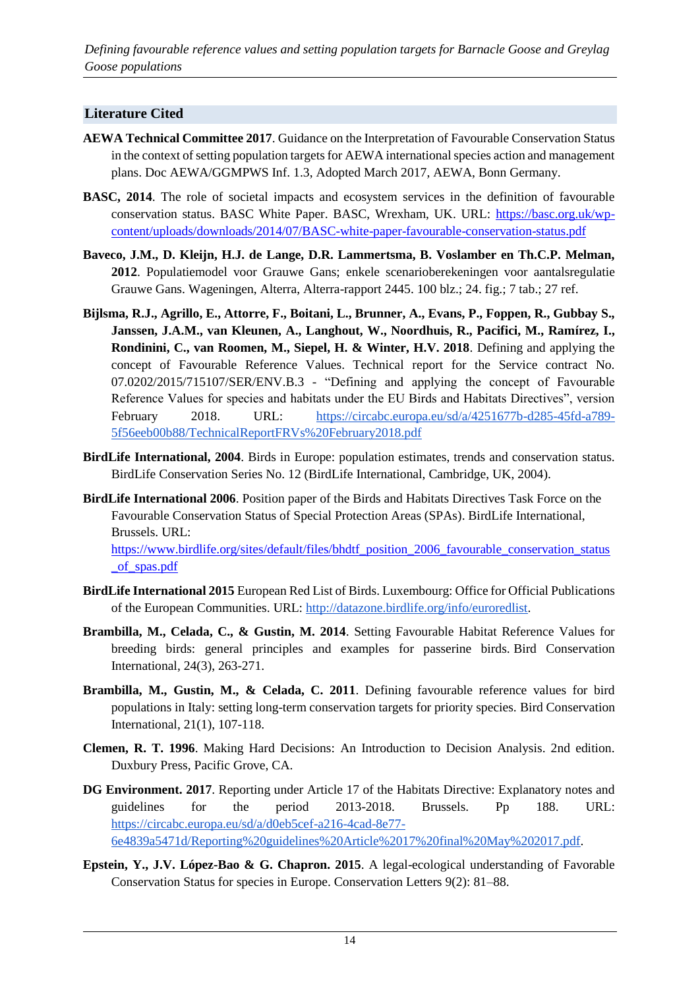*Defining favourable reference values and setting population targets for Barnacle Goose and Greylag Goose populations*

# **Literature Cited**

- **AEWA Technical Committee 2017**. Guidance on the Interpretation of Favourable Conservation Status in the context of setting population targets for AEWA international species action and management plans. Doc AEWA/GGMPWS Inf. 1.3, Adopted March 2017, AEWA, Bonn Germany.
- **BASC, 2014**. The role of societal impacts and ecosystem services in the definition of favourable conservation status. BASC White Paper. BASC, Wrexham, UK. URL: [https://basc.org.uk/wp](https://basc.org.uk/wp-content/uploads/downloads/2014/07/BASC-white-paper-favourable-conservation-status.pdf)[content/uploads/downloads/2014/07/BASC-white-paper-favourable-conservation-status.pdf](https://basc.org.uk/wp-content/uploads/downloads/2014/07/BASC-white-paper-favourable-conservation-status.pdf)
- **Baveco, J.M., D. Kleijn, H.J. de Lange, D.R. Lammertsma, B. Voslamber en Th.C.P. Melman, 2012**. Populatiemodel voor Grauwe Gans; enkele scenarioberekeningen voor aantalsregulatie Grauwe Gans. Wageningen, Alterra, Alterra-rapport 2445. 100 blz.; 24. fig.; 7 tab.; 27 ref.
- **Bijlsma, R.J., Agrillo, E., Attorre, F., Boitani, L., Brunner, A., Evans, P., Foppen, R., Gubbay S., Janssen, J.A.M., van Kleunen, A., Langhout, W., Noordhuis, R., Pacifici, M., Ramírez, I., Rondinini, C., van Roomen, M., Siepel, H. & Winter, H.V. 2018**. Defining and applying the concept of Favourable Reference Values. Technical report for the Service contract No. 07.0202/2015/715107/SER/ENV.B.3 - "Defining and applying the concept of Favourable Reference Values for species and habitats under the EU Birds and Habitats Directives", version February 2018. URL: [https://circabc.europa.eu/sd/a/4251677b-d285-45fd-a789-](https://circabc.europa.eu/sd/a/4251677b-d285-45fd-a789-5f56eeb00b88/TechnicalReportFRVs%20February2018.pdf) [5f56eeb00b88/TechnicalReportFRVs%20February2018.pdf](https://circabc.europa.eu/sd/a/4251677b-d285-45fd-a789-5f56eeb00b88/TechnicalReportFRVs%20February2018.pdf)
- **BirdLife International, 2004**. Birds in Europe: population estimates, trends and conservation status. BirdLife Conservation Series No. 12 (BirdLife International, Cambridge, UK, 2004).
- **BirdLife International 2006**. Position paper of the Birds and Habitats Directives Task Force on the Favourable Conservation Status of Special Protection Areas (SPAs). BirdLife International, Brussels. URL: [https://www.birdlife.org/sites/default/files/bhdtf\\_position\\_2006\\_favourable\\_conservation\\_status](https://www.birdlife.org/sites/default/files/bhdtf_position_2006_favourable_conservation_status_of_spas.pdf) [\\_of\\_spas.pdf](https://www.birdlife.org/sites/default/files/bhdtf_position_2006_favourable_conservation_status_of_spas.pdf)
- **[BirdLife International 2015](http://datazone.birdlife.org/userfiles/file/Species/erlob/EuropeanRedListOfBirds_June2015.pdf)** European Red List of Bird[s. Luxembourg: Office for Official Publications](http://datazone.birdlife.org/userfiles/file/Species/erlob/EuropeanRedListOfBirds_June2015.pdf)  [of the European Communities.](http://datazone.birdlife.org/userfiles/file/Species/erlob/EuropeanRedListOfBirds_June2015.pdf) URL: [http://datazone.birdlife.org/info/euroredlist.](http://datazone.birdlife.org/info/euroredlist)
- **Brambilla, M., Celada, C., & Gustin, M. 2014**. Setting Favourable Habitat Reference Values for breeding birds: general principles and examples for passerine birds. Bird Conservation International, 24(3), 263-271.
- **Brambilla, M., Gustin, M., & Celada, C. 2011**. Defining favourable reference values for bird populations in Italy: setting long-term conservation targets for priority species. Bird Conservation International, 21(1), 107-118.
- **Clemen, R. T. 1996**. Making Hard Decisions: An Introduction to Decision Analysis. 2nd edition. Duxbury Press, Pacific Grove, CA.
- **DG Environment. 2017**. Reporting under Article 17 of the Habitats Directive: Explanatory notes and guidelines for the period 2013-2018. Brussels. Pp 188. URL: [https://circabc.europa.eu/sd/a/d0eb5cef-a216-4cad-8e77-](https://circabc.europa.eu/sd/a/d0eb5cef-a216-4cad-8e77-6e4839a5471d/Reporting%20guidelines%20Article%2017%20final%20May%202017.pdf) [6e4839a5471d/Reporting%20guidelines%20Article%2017%20final%20May%202017.pdf.](https://circabc.europa.eu/sd/a/d0eb5cef-a216-4cad-8e77-6e4839a5471d/Reporting%20guidelines%20Article%2017%20final%20May%202017.pdf)
- **Epstein, Y., J.V. López-Bao & G. Chapron. 2015**. A legal-ecological understanding of Favorable Conservation Status for species in Europe. Conservation Letters 9(2): 81–88.